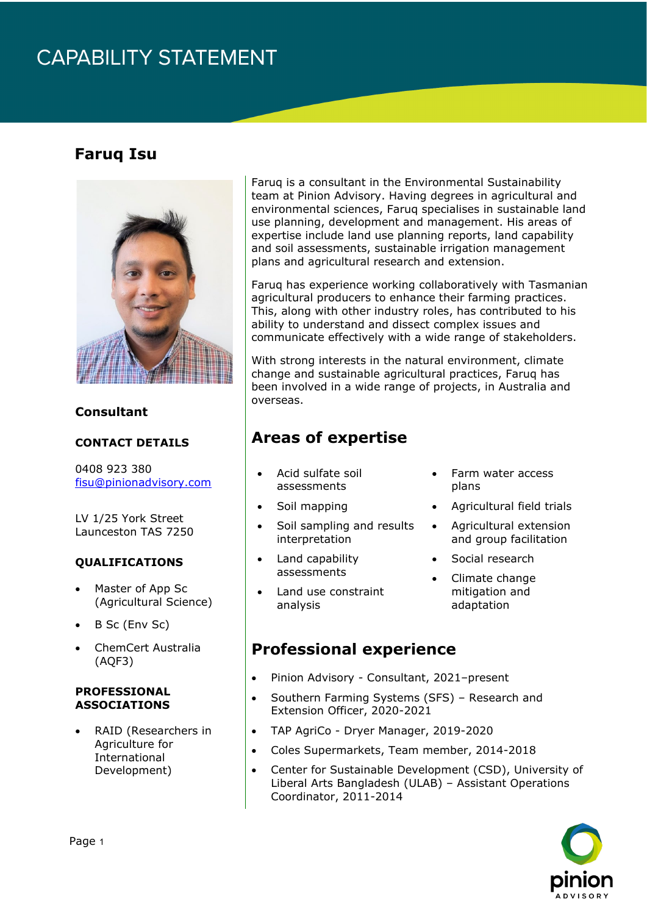# **CAPABILITY STATEMENT**

### **Faruq Isu**



#### **Consultant**

#### **CONTACT DETAILS**

0408 923 380 [fisu@pinionadvisory.com](mailto:fisu@pinionadvisory.com)

LV 1/25 York Street Launceston TAS 7250

#### **QUALIFICATIONS**

- Master of App Sc (Agricultural Science)
- B Sc (Env Sc)
- ChemCert Australia (AQF3)

#### **PROFESSIONAL ASSOCIATIONS**

• RAID (Researchers in Agriculture for International Development)

Faruq is a consultant in the Environmental Sustainability team at Pinion Advisory. Having degrees in agricultural and environmental sciences, Faruq specialises in sustainable land use planning, development and management. His areas of expertise include land use planning reports, land capability and soil assessments, sustainable irrigation management plans and agricultural research and extension.

Faruq has experience working collaboratively with Tasmanian agricultural producers to enhance their farming practices. This, along with other industry roles, has contributed to his ability to understand and dissect complex issues and communicate effectively with a wide range of stakeholders.

With strong interests in the natural environment, climate change and sustainable agricultural practices, Faruq has been involved in a wide range of projects, in Australia and overseas.

## **Areas of expertise**

- Acid sulfate soil assessments
- Soil mapping
- Soil sampling and results interpretation
- Land capability assessments
- Land use constraint analysis
- Farm water access plans
- Agricultural field trials
- Agricultural extension and group facilitation
- Social research
- Climate change mitigation and adaptation

### **Professional experience**

- Pinion Advisory Consultant, 2021–present
- Southern Farming Systems (SFS) Research and Extension Officer, 2020-2021
- TAP AgriCo Dryer Manager, 2019-2020
- Coles Supermarkets, Team member, 2014-2018
- Center for Sustainable Development (CSD), University of Liberal Arts Bangladesh (ULAB) – Assistant Operations Coordinator, 2011-2014